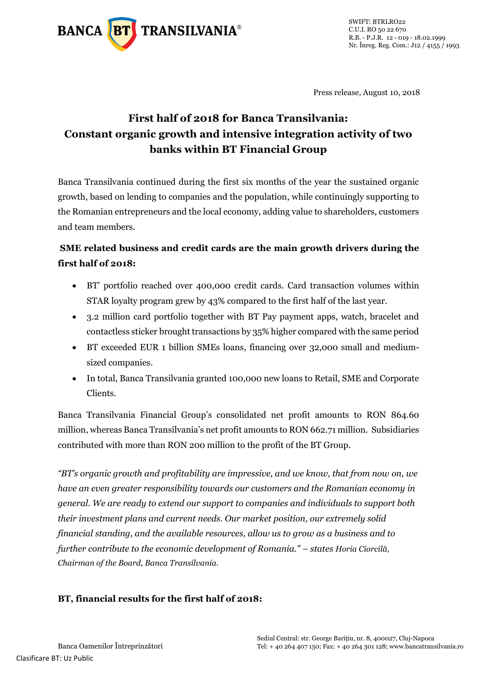

Press release, August 10, 2018

# **First half of 2018 for Banca Transilvania: Constant organic growth and intensive integration activity of two banks within BT Financial Group**

Banca Transilvania continued during the first six months of the year the sustained organic growth, based on lending to companies and the population, while continuingly supporting to the Romanian entrepreneurs and the local economy, adding value to shareholders, customers and team members.

## **SME related business and credit cards are the main growth drivers during the first half of 2018:**

- BT' portfolio reached over 400,000 credit cards. Card transaction volumes within STAR loyalty program grew by 43% compared to the first half of the last year.
- 3.2 million card portfolio together with BT Pay payment apps, watch, bracelet and contactless sticker brought transactions by 35% higher compared with the same period
- BT exceeded EUR 1 billion SMEs loans, financing over 32,000 small and mediumsized companies.
- In total, Banca Transilvania granted 100,000 new loans to Retail, SME and Corporate Clients.

Banca Transilvania Financial Group's consolidated net profit amounts to RON 864.60 million, whereas Banca Transilvania's net profit amounts to RON 662.71 million. Subsidiaries contributed with more than RON 200 million to the profit of the BT Group.

*"BT's organic growth and profitability are impressive, and we know, that from now on, we have an even greater responsibility towards our customers and the Romanian economy in general. We are ready to extend our support to companies and individuals to support both their investment plans and current needs. Our market position, our extremely solid financial standing, and the available resources, allow us to grow as a business and to further contribute to the economic development of Romania." – states Horia Ciorcilă, Chairman of the Board, Banca Transilvania.* 

### **BT, financial results for the first half of 2018:**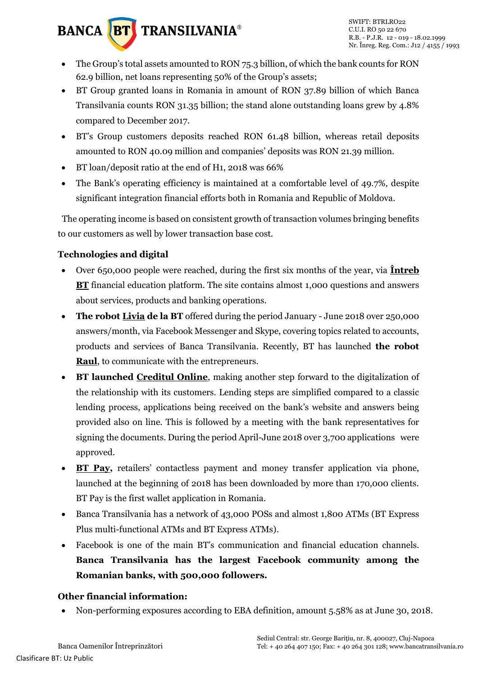

- The Group's total assets amounted to RON 75.3 billion, of which the bank counts for RON 62.9 billion, net loans representing 50% of the Group's assets;
- BT Group granted loans in Romania in amount of RON 37.89 billion of which Banca Transilvania counts RON 31.35 billion; the stand alone outstanding loans grew by 4.8% compared to December 2017.
- BT's Group customers deposits reached RON 61.48 billion, whereas retail deposits amounted to RON 40.09 million and companies' deposits was RON 21.39 million.
- BT loan/deposit ratio at the end of H1, 2018 was 66%
- The Bank's operating efficiency is maintained at a comfortable level of 49.7%, despite significant integration financial efforts both in Romania and Republic of Moldova.

The operating income is based on consistent growth of transaction volumes bringing benefits to our customers as well by lower transaction base cost.

## **Technologies and digital**

- Over 650,000 people were reached, during the first six months of the year, via **[Întreb](http://intreb.bancatransilvania.ro/)  [BT](http://intreb.bancatransilvania.ro/)** financial education platform. The site contains almost 1,000 questions and answers about services, products and banking operations.
- **The robot [Livia](https://www.bancatransilvania.ro/livia-bt/) de la BT** offered during the period January June 2018 over 250,000 answers/month, via Facebook Messenger and Skype, covering topics related to accounts, products and services of Banca Transilvania. Recently, BT has launched **the robot [Raul](https://www.bancatransilvania.ro/raul-bt/)**, to communicate with the entrepreneurs.
- **BT launched [Creditul Online](https://www.bancatransilvania.ro/credit-online/)**, making another step forward to the digitalization of the relationship with its customers. Lending steps are simplified compared to a classic lending process, applications being received on the bank's website and answers being provided also on line. This is followed by a meeting with the bank representatives for signing the documents. During the period April-June 2018 over 3,700 applications were approved.
- [BT Pay,](https://www.bancatransilvania.ro/wallet-bt-pay/) retailers' contactless payment and money transfer application via phone, launched at the beginning of 2018 has been downloaded by more than 170,000 clients. BT Pay is the first wallet application in Romania.
- Banca Transilvania has a network of 43,000 POSs and almost 1,800 ATMs (BT Express Plus multi-functional ATMs and BT Express ATMs).
- Facebook is one of the main BT's communication and financial education channels. **Banca Transilvania has the largest Facebook community among the Romanian banks, with 500,000 followers.**

### **Other financial information:**

Non-performing exposures according to EBA definition, amount 5.58% as at June 30, 2018.